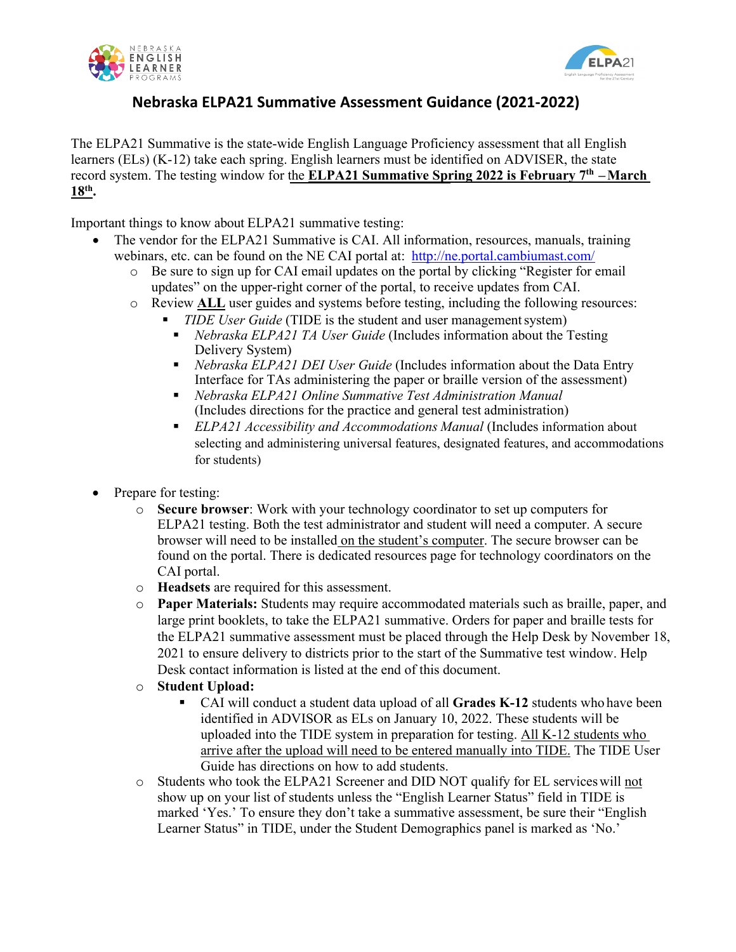



## **Nebraska ELPA21 Summative Assessment Guidance (2021-2022)**

The ELPA21 Summative is the state-wide English Language Proficiency assessment that all English learners (ELs) (K-12) take each spring. English learners must be identified on ADVISER, the state record system. The testing window for the **ELPA21 Summative Spring 2022 is February 7th –March 18th.**

Important things to know about ELPA21 summative testing:

- The vendor for the ELPA21 Summative is CAI. All information, resources, manuals, training webinars, etc. can be found on the NE CAI portal at: <http://ne.portal.cambiumast.com/>
	- o Be sure to sign up for CAI email updates on the portal by clicking "Register for email updates" on the upper-right corner of the portal, to receive updates from CAI.
	- o Review **ALL** user guides and systems before testing, including the following resources:
		- *TIDE User Guide* (TIDE is the student and user management system)
			- *Nebraska ELPA21 TA User Guide* (Includes information about the Testing Delivery System)
			- *Nebraska ELPA21 DEI User Guide* (Includes information about the Data Entry Interface for TAs administering the paper or braille version of the assessment)
			- *Nebraska ELPA21 Online Summative Test Administration Manual*  (Includes directions for the practice and general test administration)
			- *ELPA21 Accessibility and Accommodations Manual* (Includes information about selecting and administering universal features, designated features, and accommodations for students)
- Prepare for testing:
	- o **Secure browser**: Work with your technology coordinator to set up computers for ELPA21 testing. Both the test administrator and student will need a computer. A secure browser will need to be installed on the student's computer. The secure browser can be found on the portal. There is dedicated resources page for technology coordinators on the CAI portal.
	- o **Headsets** are required for this assessment.
	- o **Paper Materials:** Students may require accommodated materials such as braille, paper, and large print booklets, to take the ELPA21 summative. Orders for paper and braille tests for the ELPA21 summative assessment must be placed through the Help Desk by November 18, 2021 to ensure delivery to districts prior to the start of the Summative test window. Help Desk contact information is listed at the end of this document.
	- o **Student Upload:**
		- CAI will conduct a student data upload of all **Grades K-12** students who have been identified in ADVISOR as ELs on January 10, 2022. These students will be uploaded into the TIDE system in preparation for testing. All K-12 students who arrive after the upload will need to be entered manually into TIDE. The TIDE User Guide has directions on how to add students.
	- o Students who took the ELPA21 Screener and DID NOT qualify for EL serviceswill not show up on your list of students unless the "English Learner Status" field in TIDE is marked 'Yes.' To ensure they don't take a summative assessment, be sure their "English Learner Status" in TIDE, under the Student Demographics panel is marked as 'No.'